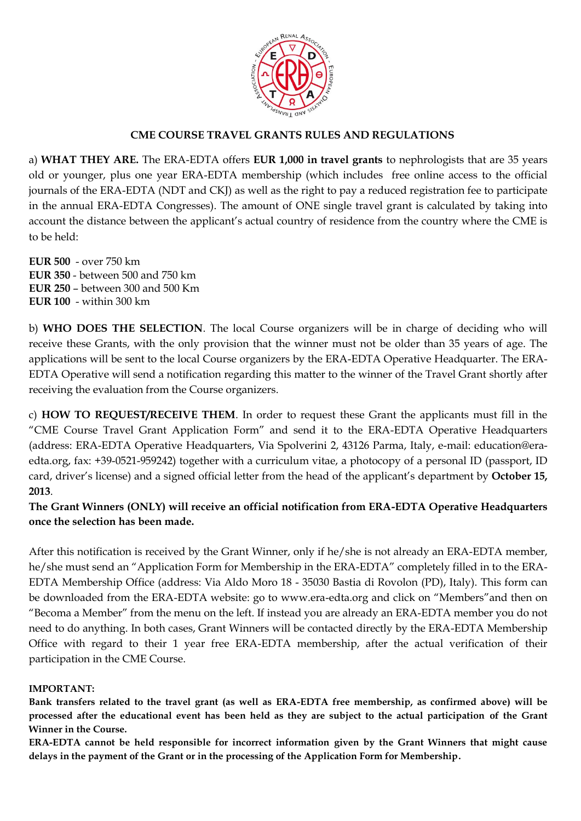

# **CME COURSE TRAVEL GRANTS RULES AND REGULATIONS**

a) **WHAT THEY ARE.** The ERA-EDTA offers **EUR 1,000 in travel grants** to nephrologists that are 35 years old or younger, plus one year ERA-EDTA membership (which includes free online access to the official journals of the ERA-EDTA (NDT and CKJ) as well as the right to pay a reduced registration fee to participate in the annual ERA-EDTA Congresses). The amount of ONE single travel grant is calculated by taking into account the distance between the applicant's actual country of residence from the country where the CME is to be held:

**EUR 500** - over 750 km **EUR 350** - between 500 and 750 km **EUR 250** – between 300 and 500 Km **EUR 100** - within 300 km

b) **WHO DOES THE SELECTION**. The local Course organizers will be in charge of deciding who will receive these Grants, with the only provision that the winner must not be older than 35 years of age. The applications will be sent to the local Course organizers by the ERA-EDTA Operative Headquarter. The ERA-EDTA Operative will send a notification regarding this matter to the winner of the Travel Grant shortly after receiving the evaluation from the Course organizers.

c) **HOW TO REQUEST/RECEIVE THEM**. In order to request these Grant the applicants must fill in the "CME Course Travel Grant Application Form" and send it to the ERA-EDTA Operative Headquarters (address: ERA-EDTA Operative Headquarters, Via Spolverini 2, 43126 Parma, Italy, e-mail: education@eraedta.org, fax: +39-0521-959242) together with a curriculum vitae, a photocopy of a personal ID (passport, ID card, driver's license) and a signed official letter from the head of the applicant's department by **October 15, 2013**.

**The Grant Winners (ONLY) will receive an official notification from ERA-EDTA Operative Headquarters once the selection has been made.** 

After this notification is received by the Grant Winner, only if he/she is not already an ERA-EDTA member, he/she must send an "Application Form for Membership in the ERA-EDTA" completely filled in to the ERA-EDTA Membership Office (address: Via Aldo Moro 18 - 35030 Bastia di Rovolon (PD), Italy). This form can be downloaded from the ERA-EDTA website: go to www.era-edta.org and click on "Members"and then on "Becoma a Member" from the menu on the left. If instead you are already an ERA-EDTA member you do not need to do anything. In both cases, Grant Winners will be contacted directly by the ERA-EDTA Membership Office with regard to their 1 year free ERA-EDTA membership, after the actual verification of their participation in the CME Course.

#### **IMPORTANT:**

**Bank transfers related to the travel grant (as well as ERA-EDTA free membership, as confirmed above) will be processed after the educational event has been held as they are subject to the actual participation of the Grant Winner in the Course.**

**ERA-EDTA cannot be held responsible for incorrect information given by the Grant Winners that might cause delays in the payment of the Grant or in the processing of the Application Form for Membership.**